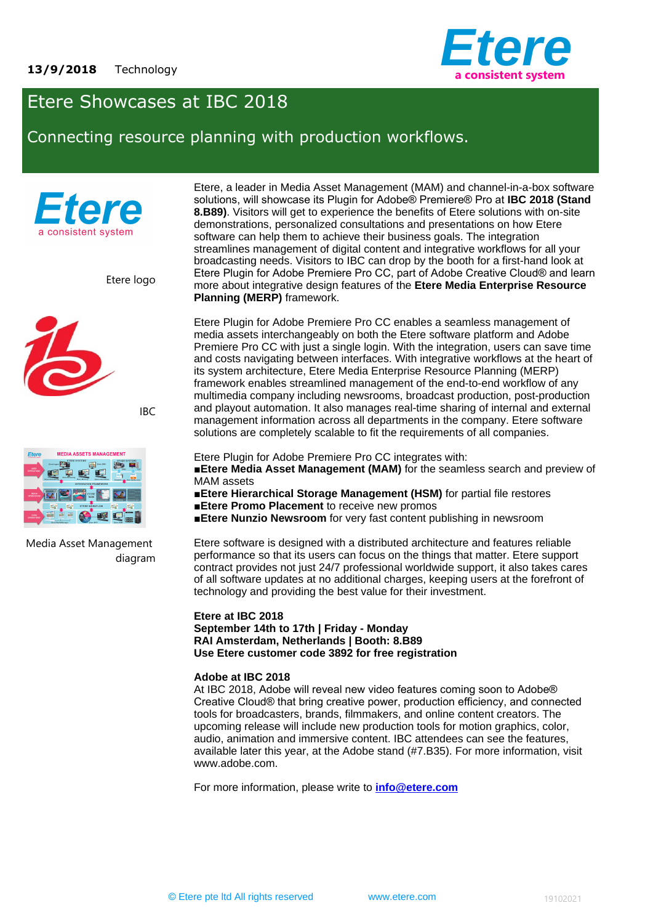

# Etere Showcases at IBC 2018

Connecting resource planning with production workflows.



Etere logo



IBC



Media Asset Management diagram Etere, a leader in Media Asset Management (MAM) and channel-in-a-box software solutions, will showcase its Plugin for Adobe® Premiere® Pro at **IBC 2018 (Stand 8.B89)**. Visitors will get to experience the benefits of Etere solutions with on-site demonstrations, personalized consultations and presentations on how Etere software can help them to achieve their business goals. The integration streamlines management of digital content and integrative workflows for all your broadcasting needs. Visitors to IBC can drop by the booth for a first-hand look at Etere Plugin for Adobe Premiere Pro CC, part of Adobe Creative Cloud® and learn more about integrative design features of the **Etere Media Enterprise Resource Planning (MERP)** framework.

Etere Plugin for Adobe Premiere Pro CC enables a seamless management of media assets interchangeably on both the Etere software platform and Adobe Premiere Pro CC with just a single login. With the integration, users can save time and costs navigating between interfaces. With integrative workflows at the heart of its system architecture, Etere Media Enterprise Resource Planning (MERP) framework enables streamlined management of the end-to-end workflow of any multimedia company including newsrooms, broadcast production, post-production and playout automation. It also manages real-time sharing of internal and external management information across all departments in the company. Etere software solutions are completely scalable to fit the requirements of all companies.

Etere Plugin for Adobe Premiere Pro CC integrates with:

**Etere Media Asset Management (MAM)** for the seamless search and preview of MAM assets

■**Etere Hierarchical Storage Management (HSM)** for partial file restores

- **Etere Promo Placement** to receive new promos
- ■**Etere Nunzio Newsroom** for very fast content publishing in newsroom

Etere software is designed with a distributed architecture and features reliable performance so that its users can focus on the things that matter. Etere support contract provides not just 24/7 professional worldwide support, it also takes cares of all software updates at no additional charges, keeping users at the forefront of technology and providing the best value for their investment.

#### **Etere at IBC 2018 September 14th to 17th | Friday - Monday RAI Amsterdam, Netherlands | Booth: 8.B89 Use Etere customer code 3892 for free registration**

#### **Adobe at IBC 2018**

At IBC 2018, Adobe will reveal new video features coming soon to Adobe® Creative Cloud® that bring creative power, production efficiency, and connected tools for broadcasters, brands, filmmakers, and online content creators. The upcoming release will include new production tools for motion graphics, color, audio, animation and immersive content. IBC attendees can see the features, available later this year, at the Adobe stand (#7.B35). For more information, visit www.adobe.com.

For more information, please write to **[info@etere.com](mailto:info@etere.com)**